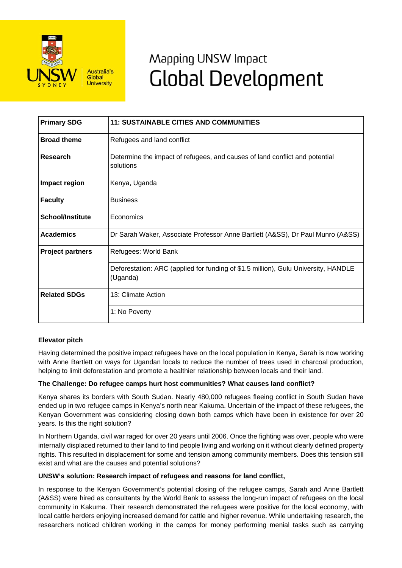

# Mapping UNSW Impact **Global Development**

| <b>Primary SDG</b>      | <b>11: SUSTAINABLE CITIES AND COMMUNITIES</b>                                                  |
|-------------------------|------------------------------------------------------------------------------------------------|
| <b>Broad theme</b>      | Refugees and land conflict                                                                     |
| Research                | Determine the impact of refugees, and causes of land conflict and potential<br>solutions       |
| Impact region           | Kenya, Uganda                                                                                  |
| <b>Faculty</b>          | <b>Business</b>                                                                                |
| <b>School/Institute</b> | Economics                                                                                      |
| <b>Academics</b>        | Dr Sarah Waker, Associate Professor Anne Bartlett (A&SS), Dr Paul Munro (A&SS)                 |
| <b>Project partners</b> | Refugees: World Bank                                                                           |
|                         | Deforestation: ARC (applied for funding of \$1.5 million), Gulu University, HANDLE<br>(Uganda) |
| <b>Related SDGs</b>     | 13: Climate Action                                                                             |
|                         | 1: No Poverty                                                                                  |

## **Elevator pitch**

Having determined the positive impact refugees have on the local population in Kenya, Sarah is now working with Anne Bartlett on ways for Ugandan locals to reduce the number of trees used in charcoal production, helping to limit deforestation and promote a healthier relationship between locals and their land.

## **The Challenge: Do refugee camps hurt host communities? What causes land conflict?**

Kenya shares its borders with South Sudan. Nearly 480,000 refugees fleeing conflict in South Sudan have ended up in two refugee camps in Kenya's north near Kakuma. Uncertain of the impact of these refugees, the Kenyan Government was considering closing down both camps which have been in existence for over 20 years. Is this the right solution?

In Northern Uganda, civil war raged for over 20 years until 2006. Once the fighting was over, people who were internally displaced returned to their land to find people living and working on it without clearly defined property rights. This resulted in displacement for some and tension among community members. Does this tension still exist and what are the causes and potential solutions?

#### **UNSW's solution: Research impact of refugees and reasons for land conflict,**

In response to the Kenyan Government's potential closing of the refugee camps, Sarah and Anne Bartlett (A&SS) were hired as consultants by the World Bank to assess the long-run impact of refugees on the local community in Kakuma. Their research demonstrated the refugees were positive for the local economy, with local cattle herders enjoying increased demand for cattle and higher revenue. While undertaking research, the researchers noticed children working in the camps for money performing menial tasks such as carrying